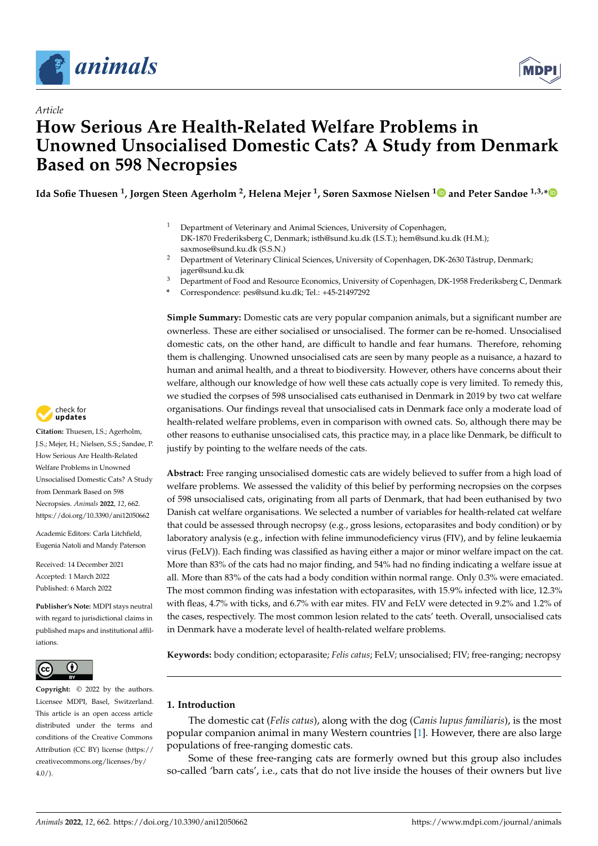



# *Article* **How Serious Are Health-Related Welfare Problems in Unowned Unsocialised Domestic Cats? A Study from Denmark Based on 598 Necropsies**

**Ida Sofie Thuesen <sup>1</sup> , Jørgen Steen Agerholm <sup>2</sup> , Helena Mejer <sup>1</sup> , Søren Saxmose Nielsen [1](https://orcid.org/0000-0003-2417-0787) and Peter Sandøe 1,3,[\\*](https://orcid.org/0000-0003-0397-3273)**

- <sup>1</sup> Department of Veterinary and Animal Sciences, University of Copenhagen, DK-1870 Frederiksberg C, Denmark; isth@sund.ku.dk (I.S.T.); hem@sund.ku.dk (H.M.); saxmose@sund.ku.dk (S.S.N.)
- <sup>2</sup> Department of Veterinary Clinical Sciences, University of Copenhagen, DK-2630 Tåstrup, Denmark; jager@sund.ku.dk
- <sup>3</sup> Department of Food and Resource Economics, University of Copenhagen, DK-1958 Frederiksberg C, Denmark
- **\*** Correspondence: pes@sund.ku.dk; Tel.: +45-21497292

**Simple Summary:** Domestic cats are very popular companion animals, but a significant number are ownerless. These are either socialised or unsocialised. The former can be re-homed. Unsocialised domestic cats, on the other hand, are difficult to handle and fear humans. Therefore, rehoming them is challenging. Unowned unsocialised cats are seen by many people as a nuisance, a hazard to human and animal health, and a threat to biodiversity. However, others have concerns about their welfare, although our knowledge of how well these cats actually cope is very limited. To remedy this, we studied the corpses of 598 unsocialised cats euthanised in Denmark in 2019 by two cat welfare organisations. Our findings reveal that unsocialised cats in Denmark face only a moderate load of health-related welfare problems, even in comparison with owned cats. So, although there may be other reasons to euthanise unsocialised cats, this practice may, in a place like Denmark, be difficult to justify by pointing to the welfare needs of the cats.

**Abstract:** Free ranging unsocialised domestic cats are widely believed to suffer from a high load of welfare problems. We assessed the validity of this belief by performing necropsies on the corpses of 598 unsocialised cats, originating from all parts of Denmark, that had been euthanised by two Danish cat welfare organisations. We selected a number of variables for health-related cat welfare that could be assessed through necropsy (e.g., gross lesions, ectoparasites and body condition) or by laboratory analysis (e.g., infection with feline immunodeficiency virus (FIV), and by feline leukaemia virus (FeLV)). Each finding was classified as having either a major or minor welfare impact on the cat. More than 83% of the cats had no major finding, and 54% had no finding indicating a welfare issue at all. More than 83% of the cats had a body condition within normal range. Only 0.3% were emaciated. The most common finding was infestation with ectoparasites, with 15.9% infected with lice, 12.3% with fleas, 4.7% with ticks, and 6.7% with ear mites. FIV and FeLV were detected in 9.2% and 1.2% of the cases, respectively. The most common lesion related to the cats' teeth. Overall, unsocialised cats in Denmark have a moderate level of health-related welfare problems.

**Keywords:** body condition; ectoparasite; *Felis catus*; FeLV; unsocialised; FIV; free-ranging; necropsy

# **1. Introduction**

The domestic cat (*Felis catus*), along with the dog (*Canis lupus familiaris*), is the most popular companion animal in many Western countries [\[1\]](#page-11-0). However, there are also large populations of free-ranging domestic cats.

Some of these free-ranging cats are formerly owned but this group also includes so-called 'barn cats', i.e., cats that do not live inside the houses of their owners but live



**Citation:** Thuesen, I.S.; Agerholm, J.S.; Mejer, H.; Nielsen, S.S.; Sandøe, P. How Serious Are Health-Related Welfare Problems in Unowned Unsocialised Domestic Cats? A Study from Denmark Based on 598 Necropsies. *Animals* **2022**, *12*, 662. <https://doi.org/10.3390/ani12050662>

Academic Editors: Carla Litchfield, Eugenia Natoli and Mandy Paterson

Received: 14 December 2021 Accepted: 1 March 2022 Published: 6 March 2022

**Publisher's Note:** MDPI stays neutral with regard to jurisdictional claims in published maps and institutional affiliations.



**Copyright:** © 2022 by the authors. Licensee MDPI, Basel, Switzerland. This article is an open access article distributed under the terms and conditions of the Creative Commons Attribution (CC BY) license [\(https://](https://creativecommons.org/licenses/by/4.0/) [creativecommons.org/licenses/by/](https://creativecommons.org/licenses/by/4.0/)  $4.0/$ ).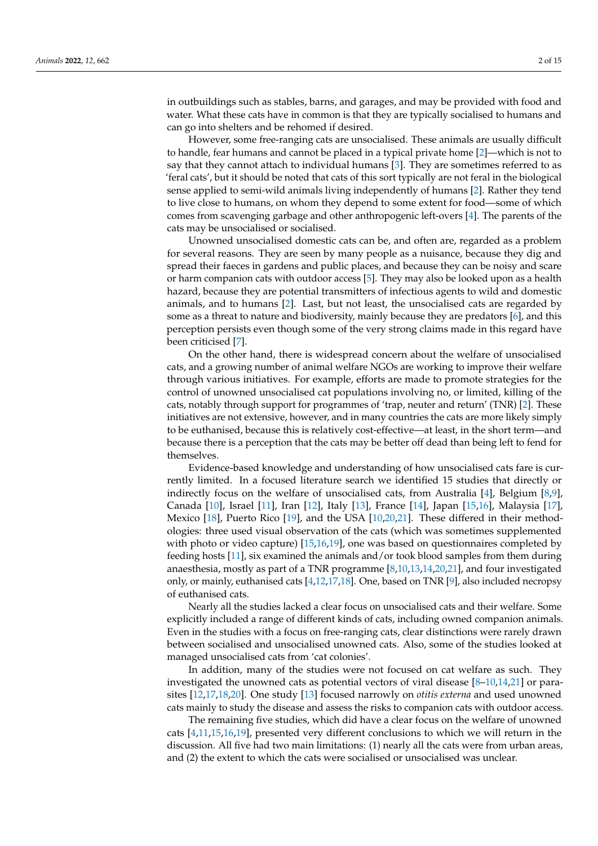in outbuildings such as stables, barns, and garages, and may be provided with food and water. What these cats have in common is that they are typically socialised to humans and can go into shelters and be rehomed if desired.

However, some free-ranging cats are unsocialised. These animals are usually difficult to handle, fear humans and cannot be placed in a typical private home [\[2\]](#page-11-1)—which is not to say that they cannot attach to individual humans [\[3\]](#page-12-0). They are sometimes referred to as 'feral cats', but it should be noted that cats of this sort typically are not feral in the biological sense applied to semi-wild animals living independently of humans [\[2\]](#page-11-1). Rather they tend to live close to humans, on whom they depend to some extent for food—some of which comes from scavenging garbage and other anthropogenic left-overs [\[4\]](#page-12-1). The parents of the cats may be unsocialised or socialised.

Unowned unsocialised domestic cats can be, and often are, regarded as a problem for several reasons. They are seen by many people as a nuisance, because they dig and spread their faeces in gardens and public places, and because they can be noisy and scare or harm companion cats with outdoor access [\[5\]](#page-12-2). They may also be looked upon as a health hazard, because they are potential transmitters of infectious agents to wild and domestic animals, and to humans [\[2\]](#page-11-1). Last, but not least, the unsocialised cats are regarded by some as a threat to nature and biodiversity, mainly because they are predators [\[6\]](#page-12-3), and this perception persists even though some of the very strong claims made in this regard have been criticised [\[7\]](#page-12-4).

On the other hand, there is widespread concern about the welfare of unsocialised cats, and a growing number of animal welfare NGOs are working to improve their welfare through various initiatives. For example, efforts are made to promote strategies for the control of unowned unsocialised cat populations involving no, or limited, killing of the cats, notably through support for programmes of 'trap, neuter and return' (TNR) [\[2\]](#page-11-1). These initiatives are not extensive, however, and in many countries the cats are more likely simply to be euthanised, because this is relatively cost-effective—at least, in the short term—and because there is a perception that the cats may be better off dead than being left to fend for themselves.

Evidence-based knowledge and understanding of how unsocialised cats fare is currently limited. In a focused literature search we identified 15 studies that directly or indirectly focus on the welfare of unsocialised cats, from Australia [\[4\]](#page-12-1), Belgium [\[8,](#page-12-5)[9\]](#page-12-6), Canada [\[10\]](#page-12-7), Israel [\[11\]](#page-12-8), Iran [\[12\]](#page-12-9), Italy [\[13\]](#page-12-10), France [\[14\]](#page-12-11), Japan [\[15,](#page-12-12)[16\]](#page-12-13), Malaysia [\[17\]](#page-12-14), Mexico [\[18\]](#page-12-15), Puerto Rico [\[19\]](#page-12-16), and the USA [\[10](#page-12-7)[,20](#page-12-17)[,21\]](#page-12-18). These differed in their methodologies: three used visual observation of the cats (which was sometimes supplemented with photo or video capture) [\[15,](#page-12-12)[16,](#page-12-13)[19\]](#page-12-16), one was based on questionnaires completed by feeding hosts [\[11\]](#page-12-8), six examined the animals and/or took blood samples from them during anaesthesia, mostly as part of a TNR programme [\[8](#page-12-5)[,10](#page-12-7)[,13](#page-12-10)[,14](#page-12-11)[,20,](#page-12-17)[21\]](#page-12-18), and four investigated only, or mainly, euthanised cats [\[4](#page-12-1)[,12,](#page-12-9)[17,](#page-12-14)[18\]](#page-12-15). One, based on TNR [\[9\]](#page-12-6), also included necropsy of euthanised cats.

Nearly all the studies lacked a clear focus on unsocialised cats and their welfare. Some explicitly included a range of different kinds of cats, including owned companion animals. Even in the studies with a focus on free-ranging cats, clear distinctions were rarely drawn between socialised and unsocialised unowned cats. Also, some of the studies looked at managed unsocialised cats from 'cat colonies'.

In addition, many of the studies were not focused on cat welfare as such. They investigated the unowned cats as potential vectors of viral disease [\[8](#page-12-5)[–10](#page-12-7)[,14](#page-12-11)[,21\]](#page-12-18) or parasites [\[12](#page-12-9)[,17](#page-12-14)[,18](#page-12-15)[,20\]](#page-12-17). One study [\[13\]](#page-12-10) focused narrowly on *otitis externa* and used unowned cats mainly to study the disease and assess the risks to companion cats with outdoor access.

The remaining five studies, which did have a clear focus on the welfare of unowned cats [\[4,](#page-12-1)[11,](#page-12-8)[15,](#page-12-12)[16,](#page-12-13)[19\]](#page-12-16), presented very different conclusions to which we will return in the discussion. All five had two main limitations: (1) nearly all the cats were from urban areas, and (2) the extent to which the cats were socialised or unsocialised was unclear.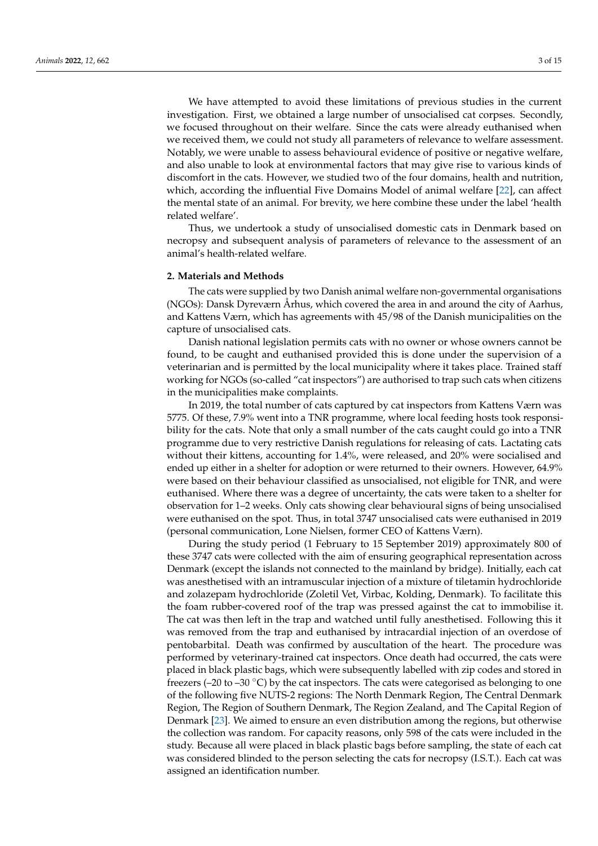We have attempted to avoid these limitations of previous studies in the current investigation. First, we obtained a large number of unsocialised cat corpses. Secondly, we focused throughout on their welfare. Since the cats were already euthanised when we received them, we could not study all parameters of relevance to welfare assessment. Notably, we were unable to assess behavioural evidence of positive or negative welfare, and also unable to look at environmental factors that may give rise to various kinds of discomfort in the cats. However, we studied two of the four domains, health and nutrition, which, according the influential Five Domains Model of animal welfare [\[22\]](#page-12-19), can affect the mental state of an animal. For brevity, we here combine these under the label 'health related welfare'.

Thus, we undertook a study of unsocialised domestic cats in Denmark based on necropsy and subsequent analysis of parameters of relevance to the assessment of an animal's health-related welfare.

#### **2. Materials and Methods**

The cats were supplied by two Danish animal welfare non-governmental organisations (NGOs): Dansk Dyreværn Århus, which covered the area in and around the city of Aarhus, and Kattens Værn, which has agreements with 45/98 of the Danish municipalities on the capture of unsocialised cats.

Danish national legislation permits cats with no owner or whose owners cannot be found, to be caught and euthanised provided this is done under the supervision of a veterinarian and is permitted by the local municipality where it takes place. Trained staff working for NGOs (so-called "cat inspectors") are authorised to trap such cats when citizens in the municipalities make complaints.

In 2019, the total number of cats captured by cat inspectors from Kattens Værn was 5775. Of these, 7.9% went into a TNR programme, where local feeding hosts took responsibility for the cats. Note that only a small number of the cats caught could go into a TNR programme due to very restrictive Danish regulations for releasing of cats. Lactating cats without their kittens, accounting for 1.4%, were released, and 20% were socialised and ended up either in a shelter for adoption or were returned to their owners. However, 64.9% were based on their behaviour classified as unsocialised, not eligible for TNR, and were euthanised. Where there was a degree of uncertainty, the cats were taken to a shelter for observation for 1–2 weeks. Only cats showing clear behavioural signs of being unsocialised were euthanised on the spot. Thus, in total 3747 unsocialised cats were euthanised in 2019 (personal communication, Lone Nielsen, former CEO of Kattens Værn).

During the study period (1 February to 15 September 2019) approximately 800 of these 3747 cats were collected with the aim of ensuring geographical representation across Denmark (except the islands not connected to the mainland by bridge). Initially, each cat was anesthetised with an intramuscular injection of a mixture of tiletamin hydrochloride and zolazepam hydrochloride (Zoletil Vet, Virbac, Kolding, Denmark). To facilitate this the foam rubber-covered roof of the trap was pressed against the cat to immobilise it. The cat was then left in the trap and watched until fully anesthetised. Following this it was removed from the trap and euthanised by intracardial injection of an overdose of pentobarbital. Death was confirmed by auscultation of the heart. The procedure was performed by veterinary-trained cat inspectors. Once death had occurred, the cats were placed in black plastic bags, which were subsequently labelled with zip codes and stored in freezers (–20 to –30 °C) by the cat inspectors. The cats were categorised as belonging to one of the following five NUTS-2 regions: The North Denmark Region, The Central Denmark Region, The Region of Southern Denmark, The Region Zealand, and The Capital Region of Denmark [\[23\]](#page-12-20). We aimed to ensure an even distribution among the regions, but otherwise the collection was random. For capacity reasons, only 598 of the cats were included in the study. Because all were placed in black plastic bags before sampling, the state of each cat was considered blinded to the person selecting the cats for necropsy (I.S.T.). Each cat was assigned an identification number.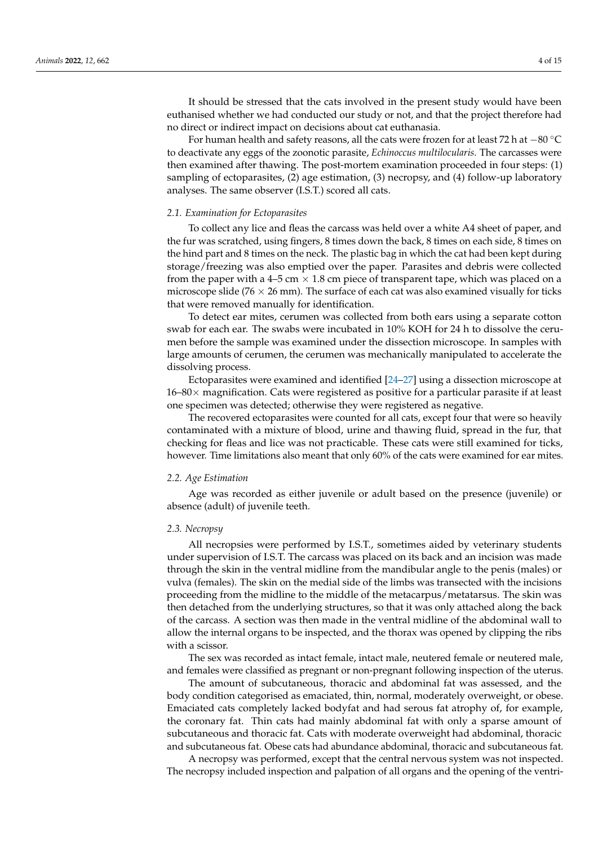It should be stressed that the cats involved in the present study would have been euthanised whether we had conducted our study or not, and that the project therefore had no direct or indirect impact on decisions about cat euthanasia.

For human health and safety reasons, all the cats were frozen for at least 72 h at  $-80^{\circ}$ C to deactivate any eggs of the zoonotic parasite, *Echinoccus multilocularis*. The carcasses were then examined after thawing. The post-mortem examination proceeded in four steps: (1) sampling of ectoparasites, (2) age estimation, (3) necropsy, and (4) follow-up laboratory analyses. The same observer (I.S.T.) scored all cats.

#### *2.1. Examination for Ectoparasites*

To collect any lice and fleas the carcass was held over a white A4 sheet of paper, and the fur was scratched, using fingers, 8 times down the back, 8 times on each side, 8 times on the hind part and 8 times on the neck. The plastic bag in which the cat had been kept during storage/freezing was also emptied over the paper. Parasites and debris were collected from the paper with a 4–5 cm  $\times$  1.8 cm piece of transparent tape, which was placed on a microscope slide ( $76 \times 26$  mm). The surface of each cat was also examined visually for ticks that were removed manually for identification.

To detect ear mites, cerumen was collected from both ears using a separate cotton swab for each ear. The swabs were incubated in 10% KOH for 24 h to dissolve the cerumen before the sample was examined under the dissection microscope. In samples with large amounts of cerumen, the cerumen was mechanically manipulated to accelerate the dissolving process.

Ectoparasites were examined and identified [\[24](#page-12-21)[–27\]](#page-12-22) using a dissection microscope at 16–80× magnification. Cats were registered as positive for a particular parasite if at least one specimen was detected; otherwise they were registered as negative.

The recovered ectoparasites were counted for all cats, except four that were so heavily contaminated with a mixture of blood, urine and thawing fluid, spread in the fur, that checking for fleas and lice was not practicable. These cats were still examined for ticks, however. Time limitations also meant that only 60% of the cats were examined for ear mites.

#### *2.2. Age Estimation*

Age was recorded as either juvenile or adult based on the presence (juvenile) or absence (adult) of juvenile teeth.

#### *2.3. Necropsy*

All necropsies were performed by I.S.T., sometimes aided by veterinary students under supervision of I.S.T. The carcass was placed on its back and an incision was made through the skin in the ventral midline from the mandibular angle to the penis (males) or vulva (females). The skin on the medial side of the limbs was transected with the incisions proceeding from the midline to the middle of the metacarpus/metatarsus. The skin was then detached from the underlying structures, so that it was only attached along the back of the carcass. A section was then made in the ventral midline of the abdominal wall to allow the internal organs to be inspected, and the thorax was opened by clipping the ribs with a scissor.

The sex was recorded as intact female, intact male, neutered female or neutered male, and females were classified as pregnant or non-pregnant following inspection of the uterus.

The amount of subcutaneous, thoracic and abdominal fat was assessed, and the body condition categorised as emaciated, thin, normal, moderately overweight, or obese. Emaciated cats completely lacked bodyfat and had serous fat atrophy of, for example, the coronary fat. Thin cats had mainly abdominal fat with only a sparse amount of subcutaneous and thoracic fat. Cats with moderate overweight had abdominal, thoracic and subcutaneous fat. Obese cats had abundance abdominal, thoracic and subcutaneous fat.

A necropsy was performed, except that the central nervous system was not inspected. The necropsy included inspection and palpation of all organs and the opening of the ventri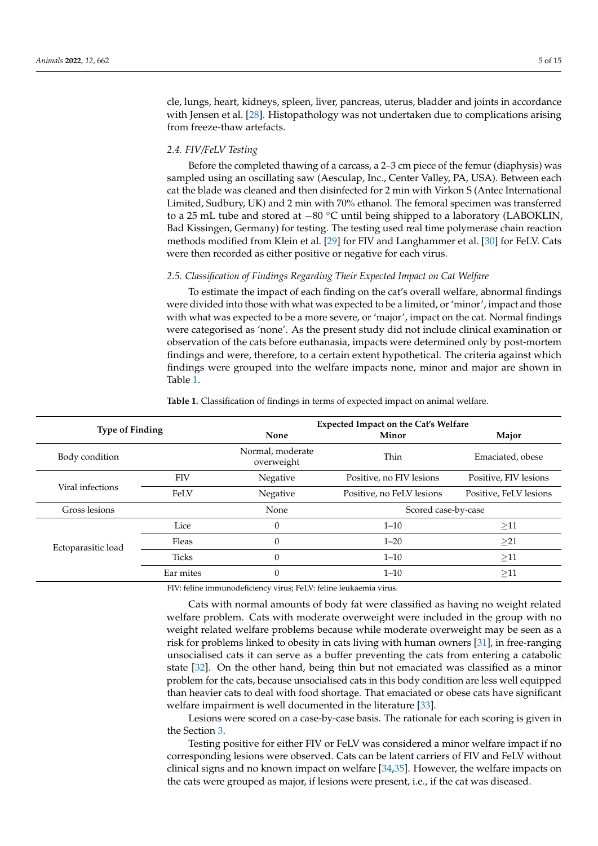cle, lungs, heart, kidneys, spleen, liver, pancreas, uterus, bladder and joints in accordance with Jensen et al. [\[28\]](#page-12-23). Histopathology was not undertaken due to complications arising from freeze-thaw artefacts.

## *2.4. FIV/FeLV Testing*

Before the completed thawing of a carcass, a 2–3 cm piece of the femur (diaphysis) was sampled using an oscillating saw (Aesculap, Inc., Center Valley, PA, USA). Between each cat the blade was cleaned and then disinfected for 2 min with Virkon S (Antec International Limited, Sudbury, UK) and 2 min with 70% ethanol. The femoral specimen was transferred to a 25 mL tube and stored at −80 °C until being shipped to a laboratory (LABOKLIN, Bad Kissingen, Germany) for testing. The testing used real time polymerase chain reaction methods modified from Klein et al. [\[29\]](#page-13-0) for FIV and Langhammer et al. [\[30\]](#page-13-1) for FeLV. Cats were then recorded as either positive or negative for each virus.

#### *2.5. Classification of Findings Regarding Their Expected Impact on Cat Welfare*

To estimate the impact of each finding on the cat's overall welfare, abnormal findings were divided into those with what was expected to be a limited, or 'minor', impact and those with what was expected to be a more severe, or 'major', impact on the cat. Normal findings were categorised as 'none'. As the present study did not include clinical examination or observation of the cats before euthanasia, impacts were determined only by post-mortem findings and were, therefore, to a certain extent hypothetical. The criteria against which findings were grouped into the welfare impacts none, minor and major are shown in Table [1.](#page-4-0)

| <b>Type of Finding</b> |              | <b>Expected Impact on the Cat's Welfare</b> |                           |                        |  |
|------------------------|--------------|---------------------------------------------|---------------------------|------------------------|--|
|                        |              | None                                        | Minor                     | Major                  |  |
| Body condition         |              | Normal, moderate<br>overweight              | Thin                      | Emaciated, obese       |  |
| Viral infections       | <b>FIV</b>   | Negative                                    | Positive, no FIV lesions  | Positive, FIV lesions  |  |
|                        | FeLV         | Negative                                    | Positive, no FeLV lesions | Positive, FeLV lesions |  |
| Gross lesions          |              | None                                        | Scored case-by-case       |                        |  |
| Ectoparasitic load     | Lice         | $\overline{0}$                              | $1 - 10$                  | >11                    |  |
|                        | Fleas        | $\Omega$                                    | $1 - 20$                  | $\geq$ 21              |  |
|                        | <b>Ticks</b> | $\overline{0}$                              | $1 - 10$                  | >11                    |  |
|                        | Ear mites    | $\overline{0}$                              | $1 - 10$                  | >11                    |  |

<span id="page-4-0"></span>**Table 1.** Classification of findings in terms of expected impact on animal welfare.

FIV: feline immunodeficiency virus; FeLV: feline leukaemia virus.

Cats with normal amounts of body fat were classified as having no weight related welfare problem. Cats with moderate overweight were included in the group with no weight related welfare problems because while moderate overweight may be seen as a risk for problems linked to obesity in cats living with human owners [\[31\]](#page-13-2), in free-ranging unsocialised cats it can serve as a buffer preventing the cats from entering a catabolic state [\[32\]](#page-13-3). On the other hand, being thin but not emaciated was classified as a minor problem for the cats, because unsocialised cats in this body condition are less well equipped than heavier cats to deal with food shortage. That emaciated or obese cats have significant welfare impairment is well documented in the literature [\[33\]](#page-13-4).

Lesions were scored on a case-by-case basis. The rationale for each scoring is given in the Section [3.](#page-5-0)

Testing positive for either FIV or FeLV was considered a minor welfare impact if no corresponding lesions were observed. Cats can be latent carriers of FIV and FeLV without clinical signs and no known impact on welfare [\[34,](#page-13-5)[35\]](#page-13-6). However, the welfare impacts on the cats were grouped as major, if lesions were present, i.e., if the cat was diseased.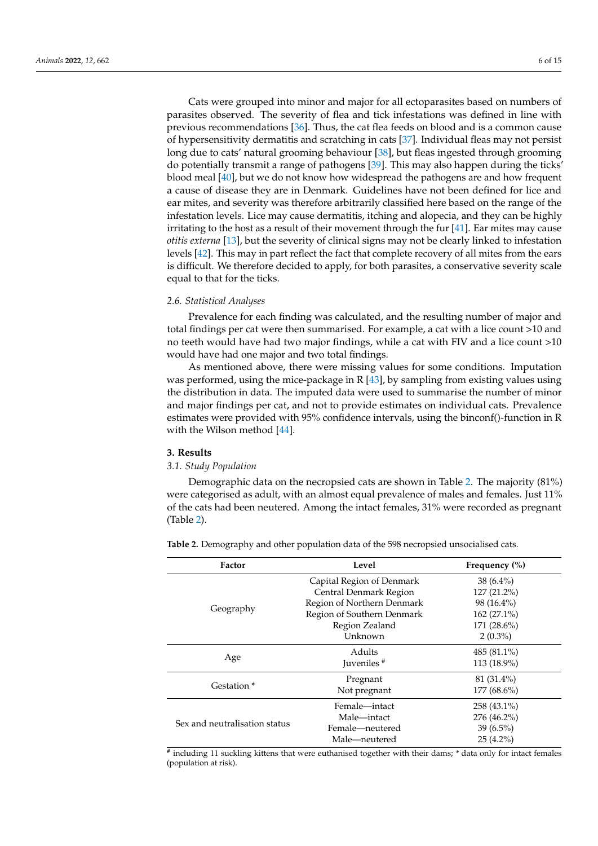Cats were grouped into minor and major for all ectoparasites based on numbers of parasites observed. The severity of flea and tick infestations was defined in line with previous recommendations [\[36\]](#page-13-7). Thus, the cat flea feeds on blood and is a common cause of hypersensitivity dermatitis and scratching in cats [\[37\]](#page-13-8). Individual fleas may not persist long due to cats' natural grooming behaviour [\[38\]](#page-13-9), but fleas ingested through grooming do potentially transmit a range of pathogens [\[39\]](#page-13-10). This may also happen during the ticks' blood meal [\[40\]](#page-13-11), but we do not know how widespread the pathogens are and how frequent a cause of disease they are in Denmark. Guidelines have not been defined for lice and ear mites, and severity was therefore arbitrarily classified here based on the range of the infestation levels. Lice may cause dermatitis, itching and alopecia, and they can be highly irritating to the host as a result of their movement through the fur [\[41\]](#page-13-12). Ear mites may cause *otitis externa* [\[13\]](#page-12-10), but the severity of clinical signs may not be clearly linked to infestation levels [\[42\]](#page-13-13). This may in part reflect the fact that complete recovery of all mites from the ears is difficult. We therefore decided to apply, for both parasites, a conservative severity scale equal to that for the ticks.

### *2.6. Statistical Analyses*

Prevalence for each finding was calculated, and the resulting number of major and total findings per cat were then summarised. For example, a cat with a lice count >10 and no teeth would have had two major findings, while a cat with FIV and a lice count >10 would have had one major and two total findings.

As mentioned above, there were missing values for some conditions. Imputation was performed, using the mice-package in R [\[43\]](#page-13-14), by sampling from existing values using the distribution in data. The imputed data were used to summarise the number of minor and major findings per cat, and not to provide estimates on individual cats. Prevalence estimates were provided with 95% confidence intervals, using the binconf()-function in R with the Wilson method [\[44\]](#page-13-15).

#### <span id="page-5-0"></span>**3. Results**

#### *3.1. Study Population*

Demographic data on the necropsied cats are shown in Table [2.](#page-5-1) The majority (81%) were categorised as adult, with an almost equal prevalence of males and females. Just 11% of the cats had been neutered. Among the intact females, 31% were recorded as pregnant (Table [2\)](#page-5-1).

| Factor                        | Level                      | Frequency $(\%)$ |
|-------------------------------|----------------------------|------------------|
|                               | Capital Region of Denmark  | $38(6.4\%)$      |
|                               | Central Denmark Region     | $127(21.2\%)$    |
|                               | Region of Northern Denmark | 98 (16.4%)       |
| Geography                     | Region of Southern Denmark | $162(27.1\%)$    |
|                               | Region Zealand             | $171(28.6\%)$    |
|                               | Unknown                    | $2(0.3\%)$       |
|                               | Adults                     | $485(81.1\%)$    |
| Age                           | Juveniles <sup>#</sup>     | 113 (18.9%)      |
| Gestation <sup>*</sup>        | Pregnant                   | $81(31.4\%)$     |
|                               | Not pregnant               | $177(68.6\%)$    |
|                               | Female—intact              | 258 (43.1%)      |
|                               | Male—intact                | 276 (46.2%)      |
| Sex and neutralisation status | Female-neutered            | 39 $(6.5\%)$     |
|                               | Male—neutered              | $25(4.2\%)$      |

<span id="page-5-1"></span>**Table 2.** Demography and other population data of the 598 necropsied unsocialised cats.

# including 11 suckling kittens that were euthanised together with their dams; \* data only for intact females (population at risk).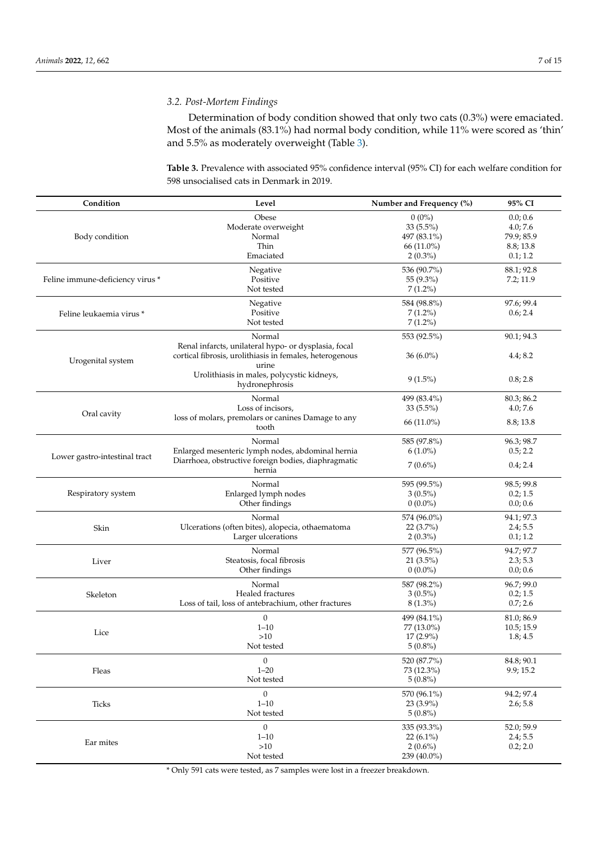# *3.2. Post-Mortem Findings*

Determination of body condition showed that only two cats (0.3%) were emaciated. Most of the animals (83.1%) had normal body condition, while 11% were scored as 'thin' and 5.5% as moderately overweight (Table [3\)](#page-6-0).

<span id="page-6-0"></span>**Table 3.** Prevalence with associated 95% confidence interval (95% CI) for each welfare condition for 598 unsocialised cats in Denmark in 2019.

| Condition                        | Level                                                          | Number and Frequency (%) | 95% CI     |
|----------------------------------|----------------------------------------------------------------|--------------------------|------------|
|                                  | Obese                                                          | $0(0\%)$                 | 0.0; 0.6   |
|                                  | Moderate overweight                                            | 33 (5.5%)                | 4.0; 7.6   |
| Body condition                   | Normal                                                         | 497 (83.1%)              | 79.9; 85.9 |
|                                  | Thin                                                           | $66(11.0\%)$             | 8.8; 13.8  |
|                                  | Emaciated                                                      | $2(0.3\%)$               | 0.1; 1.2   |
|                                  | Negative                                                       | 536 (90.7%)              | 88.1; 92.8 |
| Feline immune-deficiency virus * | Positive                                                       | 55 (9.3%)                | 7.2; 11.9  |
|                                  | Not tested                                                     | $7(1.2\%)$               |            |
|                                  | Negative                                                       | 584 (98.8%)              | 97.6; 99.4 |
| Feline leukaemia virus *         | Positive                                                       | $7(1.2\%)$               | 0.6; 2.4   |
|                                  | Not tested                                                     | $7(1.2\%)$               |            |
|                                  | Normal                                                         | 553 (92.5%)              | 90.1; 94.3 |
|                                  | Renal infarcts, unilateral hypo- or dysplasia, focal           |                          |            |
| Urogenital system                | cortical fibrosis, urolithiasis in females, heterogenous       | 36 $(6.0\%)$             | 4.4; 8.2   |
|                                  | urine<br>Urolithiasis in males, polycystic kidneys,            |                          |            |
|                                  | hydronephrosis                                                 | $9(1.5\%)$               | 0.8; 2.8   |
|                                  | Normal                                                         | 499 (83.4%)              | 80.3; 86.2 |
|                                  | Loss of incisors,                                              | $33(5.5\%)$              | 4.0; 7.6   |
| Oral cavity                      | loss of molars, premolars or canines Damage to any             | 66 (11.0%)               | 8.8; 13.8  |
|                                  | tooth                                                          |                          |            |
|                                  | Normal                                                         | 585 (97.8%)              | 96.3; 98.7 |
|                                  | Enlarged mesenteric lymph nodes, abdominal hernia              | $6(1.0\%)$               | 0.5; 2.2   |
| Lower gastro-intestinal tract    | Diarrhoea, obstructive foreign bodies, diaphragmatic<br>hernia | $7(0.6\%)$               | 0.4; 2.4   |
|                                  | Normal                                                         | 595 (99.5%)              | 98.5; 99.8 |
| Respiratory system               | Enlarged lymph nodes                                           | $3(0.5\%)$               | 0.2; 1.5   |
|                                  | Other findings                                                 | $0(0.0\%)$               | 0.0; 0.6   |
|                                  | Normal                                                         | 574 (96.0%)              | 94.1; 97.3 |
| Skin                             | Ulcerations (often bites), alopecia, othaematoma               | 22 (3.7%)                | 2.4; 5.5   |
|                                  | Larger ulcerations                                             | $2(0.3\%)$               | 0.1; 1.2   |
|                                  | Normal                                                         | 577 (96.5%)              | 94.7; 97.7 |
| Liver                            | Steatosis, focal fibrosis                                      | $21(3.5\%)$              | 2.3; 5.3   |
|                                  | Other findings                                                 | $0(0.0\%)$               | 0.0; 0.6   |
|                                  | Normal                                                         | 587 (98.2%)              | 96.7; 99.0 |
| Skeleton                         | Healed fractures                                               | $3(0.5\%)$               | 0.2; 1.5   |
|                                  | Loss of tail, loss of antebrachium, other fractures            | $8(1.3\%)$               | 0.7; 2.6   |
|                                  | $\theta$                                                       | 499 (84.1%)              | 81.0; 86.9 |
| Lice                             | $1 - 10$                                                       | 77 (13.0%)               | 10.5; 15.9 |
|                                  | >10                                                            | $17(2.9\%)$              | 1.8; 4.5   |
|                                  | Not tested                                                     | $5(0.8\%)$               |            |
|                                  | $\overline{0}$                                                 | 520 (87.7%)              | 84.8; 90.1 |
| Fleas                            | $1 - 20$                                                       | 73 (12.3%)               | 9.9; 15.2  |
|                                  | Not tested                                                     | $5(0.8\%)$               |            |
|                                  | $\boldsymbol{0}$                                               | 570 (96.1%)              | 94.2; 97.4 |
| <b>Ticks</b>                     | $1 - 10$                                                       | 23 (3.9%)                | 2.6; 5.8   |
|                                  | Not tested                                                     | $5(0.8\%)$               |            |
|                                  | $\overline{0}$                                                 | 335 (93.3%)              | 52.0; 59.9 |
| Ear mites                        | $1 - 10$                                                       | $22(6.1\%)$              | 2.4; 5.5   |
|                                  | >10                                                            | $2(0.6\%)$               | 0.2; 2.0   |
|                                  | Not tested                                                     | 239 (40.0%)              |            |

\* Only 591 cats were tested, as 7 samples were lost in a freezer breakdown.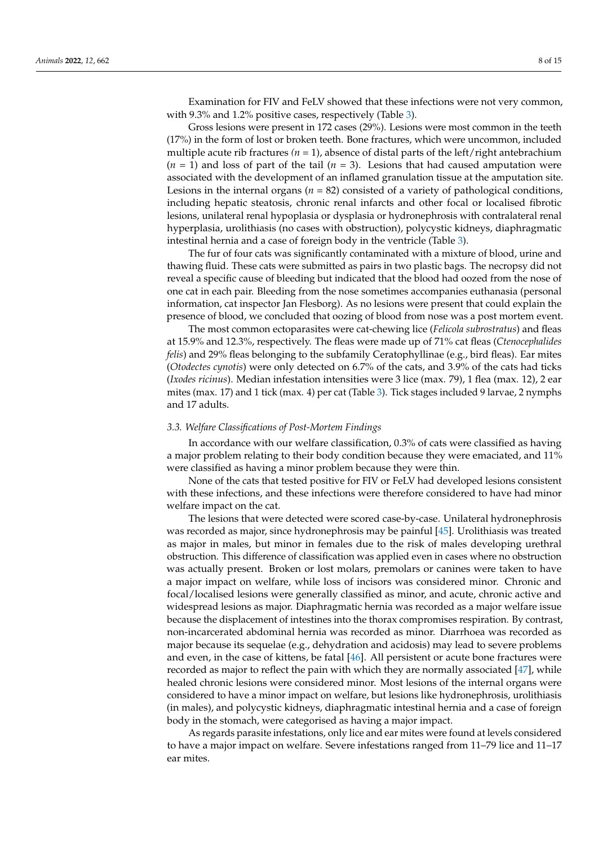Examination for FIV and FeLV showed that these infections were not very common, with 9.3% and 1.2% positive cases, respectively (Table [3\)](#page-6-0).

Gross lesions were present in 172 cases (29%). Lesions were most common in the teeth (17%) in the form of lost or broken teeth. Bone fractures, which were uncommon, included multiple acute rib fractures  $(n = 1)$ , absence of distal parts of the left/right antebrachium  $(n = 1)$  and loss of part of the tail  $(n = 3)$ . Lesions that had caused amputation were associated with the development of an inflamed granulation tissue at the amputation site. Lesions in the internal organs (*n* = 82) consisted of a variety of pathological conditions, including hepatic steatosis, chronic renal infarcts and other focal or localised fibrotic lesions, unilateral renal hypoplasia or dysplasia or hydronephrosis with contralateral renal hyperplasia, urolithiasis (no cases with obstruction), polycystic kidneys, diaphragmatic intestinal hernia and a case of foreign body in the ventricle (Table [3\)](#page-6-0).

The fur of four cats was significantly contaminated with a mixture of blood, urine and thawing fluid. These cats were submitted as pairs in two plastic bags. The necropsy did not reveal a specific cause of bleeding but indicated that the blood had oozed from the nose of one cat in each pair. Bleeding from the nose sometimes accompanies euthanasia (personal information, cat inspector Jan Flesborg). As no lesions were present that could explain the presence of blood, we concluded that oozing of blood from nose was a post mortem event.

The most common ectoparasites were cat-chewing lice (*Felicola subrostratus*) and fleas at 15.9% and 12.3%, respectively. The fleas were made up of 71% cat fleas (*Ctenocephalides felis*) and 29% fleas belonging to the subfamily Ceratophyllinae (e.g., bird fleas). Ear mites (*Otodectes cynotis*) were only detected on 6.7% of the cats, and 3.9% of the cats had ticks (*Ixodes ricinus*). Median infestation intensities were 3 lice (max. 79), 1 flea (max. 12), 2 ear mites (max. 17) and 1 tick (max. 4) per cat (Table [3\)](#page-6-0). Tick stages included 9 larvae, 2 nymphs and 17 adults.

#### *3.3. Welfare Classifications of Post-Mortem Findings*

In accordance with our welfare classification, 0.3% of cats were classified as having a major problem relating to their body condition because they were emaciated, and 11% were classified as having a minor problem because they were thin.

None of the cats that tested positive for FIV or FeLV had developed lesions consistent with these infections, and these infections were therefore considered to have had minor welfare impact on the cat.

The lesions that were detected were scored case-by-case. Unilateral hydronephrosis was recorded as major, since hydronephrosis may be painful [\[45\]](#page-13-16). Urolithiasis was treated as major in males, but minor in females due to the risk of males developing urethral obstruction. This difference of classification was applied even in cases where no obstruction was actually present. Broken or lost molars, premolars or canines were taken to have a major impact on welfare, while loss of incisors was considered minor. Chronic and focal/localised lesions were generally classified as minor, and acute, chronic active and widespread lesions as major. Diaphragmatic hernia was recorded as a major welfare issue because the displacement of intestines into the thorax compromises respiration. By contrast, non-incarcerated abdominal hernia was recorded as minor. Diarrhoea was recorded as major because its sequelae (e.g., dehydration and acidosis) may lead to severe problems and even, in the case of kittens, be fatal [\[46\]](#page-13-17). All persistent or acute bone fractures were recorded as major to reflect the pain with which they are normally associated [\[47\]](#page-13-18), while healed chronic lesions were considered minor. Most lesions of the internal organs were considered to have a minor impact on welfare, but lesions like hydronephrosis, urolithiasis (in males), and polycystic kidneys, diaphragmatic intestinal hernia and a case of foreign body in the stomach, were categorised as having a major impact.

As regards parasite infestations, only lice and ear mites were found at levels considered to have a major impact on welfare. Severe infestations ranged from 11–79 lice and 11–17 ear mites.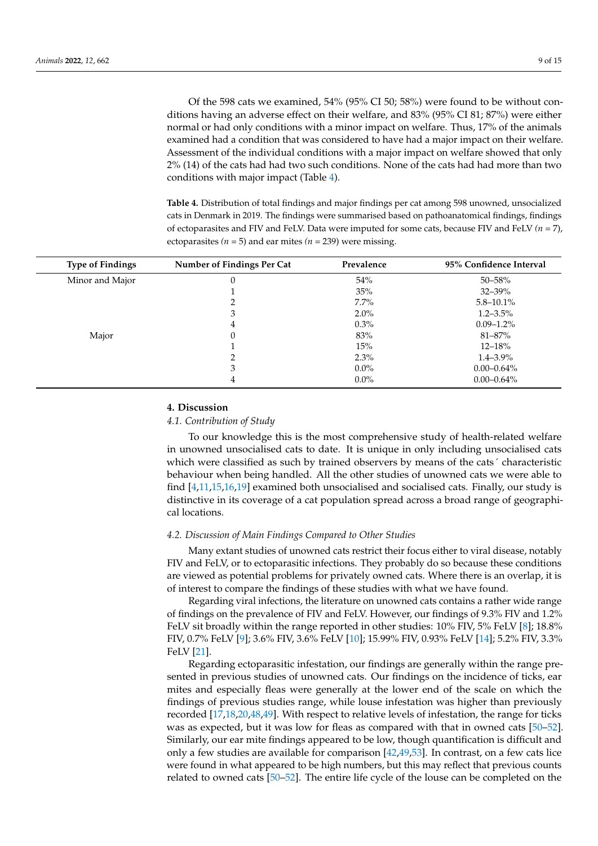Of the 598 cats we examined, 54% (95% CI 50; 58%) were found to be without conditions having an adverse effect on their welfare, and 83% (95% CI 81; 87%) were either normal or had only conditions with a minor impact on welfare. Thus, 17% of the animals examined had a condition that was considered to have had a major impact on their welfare. Assessment of the individual conditions with a major impact on welfare showed that only 2% (14) of the cats had had two such conditions. None of the cats had had more than two conditions with major impact (Table [4\)](#page-8-0).

<span id="page-8-0"></span>**Table 4.** Distribution of total findings and major findings per cat among 598 unowned, unsocialized cats in Denmark in 2019. The findings were summarised based on pathoanatomical findings, findings of ectoparasites and FIV and FeLV. Data were imputed for some cats, because FIV and FeLV *(n* = 7), ectoparasites  $(n = 5)$  and ear mites  $(n = 239)$  were missing.

| <b>Type of Findings</b> | Number of Findings Per Cat | Prevalence | 95% Confidence Interval |
|-------------------------|----------------------------|------------|-------------------------|
| Minor and Major         | 0                          | 54%        | $50 - 58%$              |
|                         |                            | 35%        | $32 - 39\%$             |
|                         |                            | $7.7\%$    | $5.8 - 10.1\%$          |
|                         | 3                          | $2.0\%$    | $1.2 - 3.5\%$           |
|                         | 4                          | 0.3%       | $0.09 - 1.2\%$          |
| Major                   | $\theta$                   | 83%        | 81–87%                  |
|                         |                            | 15%        | $12 - 18%$              |
|                         | ∍                          | 2.3%       | $1.4 - 3.9\%$           |
|                         | 3                          | $0.0\%$    | $0.00 - 0.64\%$         |
|                         | 4                          | $0.0\%$    | $0.00 - 0.64\%$         |

#### **4. Discussion**

## *4.1. Contribution of Study*

To our knowledge this is the most comprehensive study of health-related welfare in unowned unsocialised cats to date. It is unique in only including unsocialised cats which were classified as such by trained observers by means of the cats  $\acute{\ }$  characteristic behaviour when being handled. All the other studies of unowned cats we were able to find [\[4](#page-12-1)[,11](#page-12-8)[,15](#page-12-12)[,16](#page-12-13)[,19\]](#page-12-16) examined both unsocialised and socialised cats. Finally, our study is distinctive in its coverage of a cat population spread across a broad range of geographical locations.

#### *4.2. Discussion of Main Findings Compared to Other Studies*

Many extant studies of unowned cats restrict their focus either to viral disease, notably FIV and FeLV, or to ectoparasitic infections. They probably do so because these conditions are viewed as potential problems for privately owned cats. Where there is an overlap, it is of interest to compare the findings of these studies with what we have found.

Regarding viral infections, the literature on unowned cats contains a rather wide range of findings on the prevalence of FIV and FeLV. However, our findings of 9.3% FIV and 1.2% FeLV sit broadly within the range reported in other studies: 10% FIV, 5% FeLV [\[8\]](#page-12-5); 18.8% FIV, 0.7% FeLV [\[9\]](#page-12-6); 3.6% FIV, 3.6% FeLV [\[10\]](#page-12-7); 15.99% FIV, 0.93% FeLV [\[14\]](#page-12-11); 5.2% FIV, 3.3% FeLV [\[21\]](#page-12-18).

Regarding ectoparasitic infestation, our findings are generally within the range presented in previous studies of unowned cats. Our findings on the incidence of ticks, ear mites and especially fleas were generally at the lower end of the scale on which the findings of previous studies range, while louse infestation was higher than previously recorded [\[17,](#page-12-14)[18](#page-12-15)[,20,](#page-12-17)[48](#page-13-19)[,49\]](#page-13-20). With respect to relative levels of infestation, the range for ticks was as expected, but it was low for fleas as compared with that in owned cats [\[50](#page-13-21)[–52\]](#page-13-22). Similarly, our ear mite findings appeared to be low, though quantification is difficult and only a few studies are available for comparison [\[42,](#page-13-13)[49,](#page-13-20)[53\]](#page-13-23). In contrast, on a few cats lice were found in what appeared to be high numbers, but this may reflect that previous counts related to owned cats [\[50](#page-13-21)[–52\]](#page-13-22). The entire life cycle of the louse can be completed on the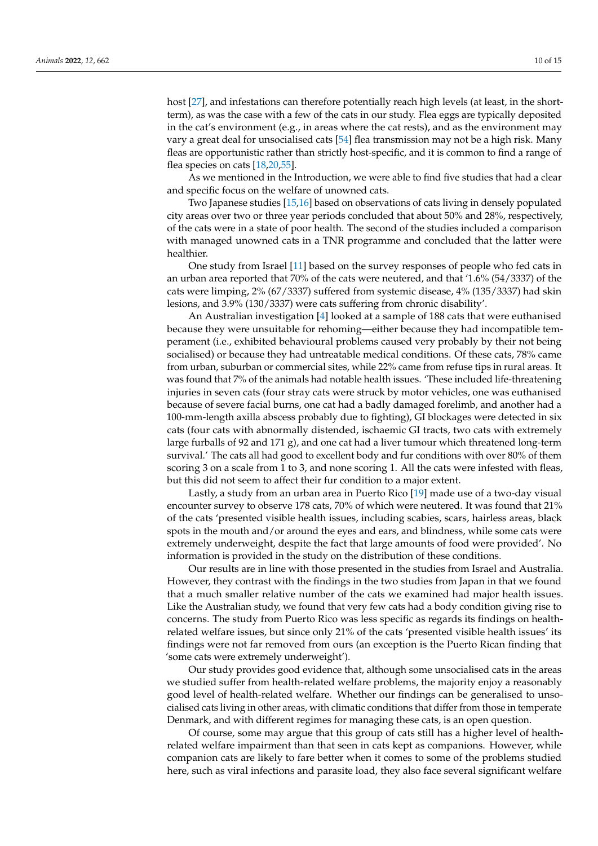host [\[27\]](#page-12-22), and infestations can therefore potentially reach high levels (at least, in the shortterm), as was the case with a few of the cats in our study. Flea eggs are typically deposited in the cat's environment (e.g., in areas where the cat rests), and as the environment may vary a great deal for unsocialised cats [\[54\]](#page-13-24) flea transmission may not be a high risk. Many fleas are opportunistic rather than strictly host-specific, and it is common to find a range of flea species on cats [\[18](#page-12-15)[,20](#page-12-17)[,55\]](#page-13-25).

As we mentioned in the Introduction, we were able to find five studies that had a clear and specific focus on the welfare of unowned cats.

Two Japanese studies [\[15,](#page-12-12)[16\]](#page-12-13) based on observations of cats living in densely populated city areas over two or three year periods concluded that about 50% and 28%, respectively, of the cats were in a state of poor health. The second of the studies included a comparison with managed unowned cats in a TNR programme and concluded that the latter were healthier.

One study from Israel [\[11\]](#page-12-8) based on the survey responses of people who fed cats in an urban area reported that 70% of the cats were neutered, and that '1.6% (54/3337) of the cats were limping, 2% (67/3337) suffered from systemic disease, 4% (135/3337) had skin lesions, and 3.9% (130/3337) were cats suffering from chronic disability'.

An Australian investigation [\[4\]](#page-12-1) looked at a sample of 188 cats that were euthanised because they were unsuitable for rehoming—either because they had incompatible temperament (i.e., exhibited behavioural problems caused very probably by their not being socialised) or because they had untreatable medical conditions. Of these cats, 78% came from urban, suburban or commercial sites, while 22% came from refuse tips in rural areas. It was found that 7% of the animals had notable health issues. 'These included life-threatening injuries in seven cats (four stray cats were struck by motor vehicles, one was euthanised because of severe facial burns, one cat had a badly damaged forelimb, and another had a 100-mm-length axilla abscess probably due to fighting), GI blockages were detected in six cats (four cats with abnormally distended, ischaemic GI tracts, two cats with extremely large furballs of 92 and 171 g), and one cat had a liver tumour which threatened long-term survival.' The cats all had good to excellent body and fur conditions with over 80% of them scoring 3 on a scale from 1 to 3, and none scoring 1. All the cats were infested with fleas, but this did not seem to affect their fur condition to a major extent.

Lastly, a study from an urban area in Puerto Rico [\[19\]](#page-12-16) made use of a two-day visual encounter survey to observe 178 cats, 70% of which were neutered. It was found that 21% of the cats 'presented visible health issues, including scabies, scars, hairless areas, black spots in the mouth and/or around the eyes and ears, and blindness, while some cats were extremely underweight, despite the fact that large amounts of food were provided'. No information is provided in the study on the distribution of these conditions.

Our results are in line with those presented in the studies from Israel and Australia. However, they contrast with the findings in the two studies from Japan in that we found that a much smaller relative number of the cats we examined had major health issues. Like the Australian study, we found that very few cats had a body condition giving rise to concerns. The study from Puerto Rico was less specific as regards its findings on healthrelated welfare issues, but since only 21% of the cats 'presented visible health issues' its findings were not far removed from ours (an exception is the Puerto Rican finding that 'some cats were extremely underweight').

Our study provides good evidence that, although some unsocialised cats in the areas we studied suffer from health-related welfare problems, the majority enjoy a reasonably good level of health-related welfare. Whether our findings can be generalised to unsocialised cats living in other areas, with climatic conditions that differ from those in temperate Denmark, and with different regimes for managing these cats, is an open question.

Of course, some may argue that this group of cats still has a higher level of healthrelated welfare impairment than that seen in cats kept as companions. However, while companion cats are likely to fare better when it comes to some of the problems studied here, such as viral infections and parasite load, they also face several significant welfare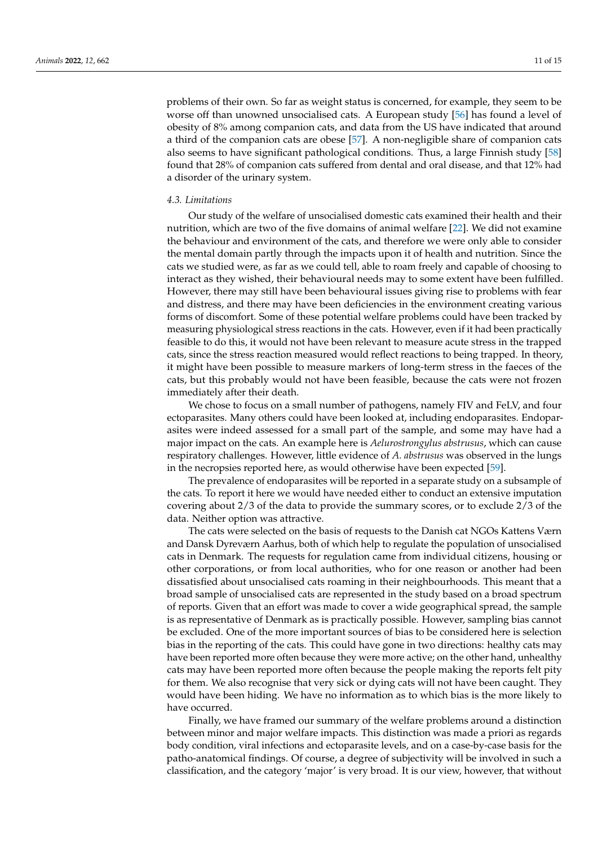problems of their own. So far as weight status is concerned, for example, they seem to be worse off than unowned unsocialised cats. A European study [\[56\]](#page-13-26) has found a level of obesity of 8% among companion cats, and data from the US have indicated that around a third of the companion cats are obese [\[57\]](#page-13-27). A non-negligible share of companion cats also seems to have significant pathological conditions. Thus, a large Finnish study [\[58\]](#page-14-0) found that 28% of companion cats suffered from dental and oral disease, and that 12% had a disorder of the urinary system.

#### *4.3. Limitations*

Our study of the welfare of unsocialised domestic cats examined their health and their nutrition, which are two of the five domains of animal welfare [\[22\]](#page-12-19). We did not examine the behaviour and environment of the cats, and therefore we were only able to consider the mental domain partly through the impacts upon it of health and nutrition. Since the cats we studied were, as far as we could tell, able to roam freely and capable of choosing to interact as they wished, their behavioural needs may to some extent have been fulfilled. However, there may still have been behavioural issues giving rise to problems with fear and distress, and there may have been deficiencies in the environment creating various forms of discomfort. Some of these potential welfare problems could have been tracked by measuring physiological stress reactions in the cats. However, even if it had been practically feasible to do this, it would not have been relevant to measure acute stress in the trapped cats, since the stress reaction measured would reflect reactions to being trapped. In theory, it might have been possible to measure markers of long-term stress in the faeces of the cats, but this probably would not have been feasible, because the cats were not frozen immediately after their death.

We chose to focus on a small number of pathogens, namely FIV and FeLV, and four ectoparasites. Many others could have been looked at, including endoparasites. Endoparasites were indeed assessed for a small part of the sample, and some may have had a major impact on the cats. An example here is *Aelurostrongylus abstrusus*, which can cause respiratory challenges. However, little evidence of *A. abstrusus* was observed in the lungs in the necropsies reported here, as would otherwise have been expected [\[59\]](#page-14-1).

The prevalence of endoparasites will be reported in a separate study on a subsample of the cats. To report it here we would have needed either to conduct an extensive imputation covering about 2/3 of the data to provide the summary scores, or to exclude 2/3 of the data. Neither option was attractive.

The cats were selected on the basis of requests to the Danish cat NGOs Kattens Værn and Dansk Dyreværn Aarhus, both of which help to regulate the population of unsocialised cats in Denmark. The requests for regulation came from individual citizens, housing or other corporations, or from local authorities, who for one reason or another had been dissatisfied about unsocialised cats roaming in their neighbourhoods. This meant that a broad sample of unsocialised cats are represented in the study based on a broad spectrum of reports. Given that an effort was made to cover a wide geographical spread, the sample is as representative of Denmark as is practically possible. However, sampling bias cannot be excluded. One of the more important sources of bias to be considered here is selection bias in the reporting of the cats. This could have gone in two directions: healthy cats may have been reported more often because they were more active; on the other hand, unhealthy cats may have been reported more often because the people making the reports felt pity for them. We also recognise that very sick or dying cats will not have been caught. They would have been hiding. We have no information as to which bias is the more likely to have occurred.

Finally, we have framed our summary of the welfare problems around a distinction between minor and major welfare impacts. This distinction was made a priori as regards body condition, viral infections and ectoparasite levels, and on a case-by-case basis for the patho-anatomical findings. Of course, a degree of subjectivity will be involved in such a classification, and the category 'major' is very broad. It is our view, however, that without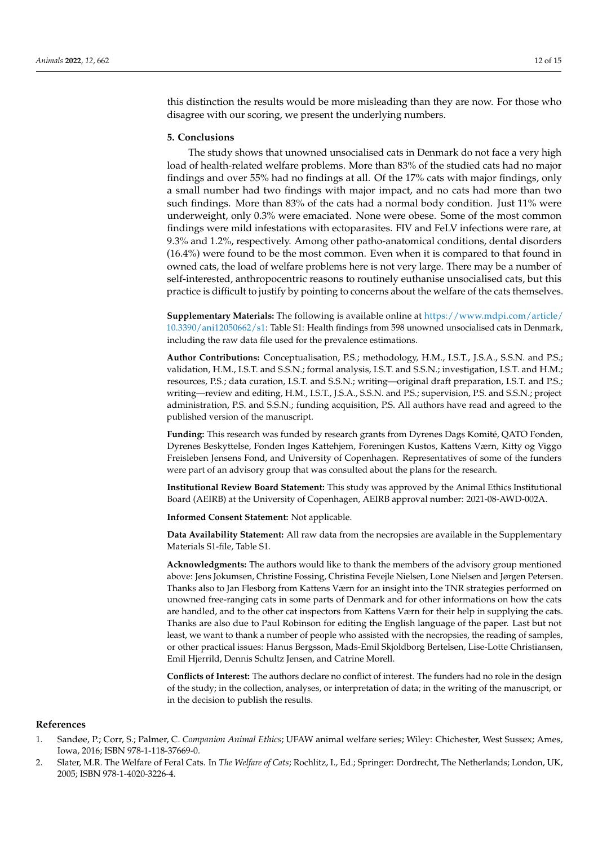this distinction the results would be more misleading than they are now. For those who disagree with our scoring, we present the underlying numbers.

#### **5. Conclusions**

The study shows that unowned unsocialised cats in Denmark do not face a very high load of health-related welfare problems. More than 83% of the studied cats had no major findings and over 55% had no findings at all. Of the 17% cats with major findings, only a small number had two findings with major impact, and no cats had more than two such findings. More than 83% of the cats had a normal body condition. Just 11% were underweight, only 0.3% were emaciated. None were obese. Some of the most common findings were mild infestations with ectoparasites. FIV and FeLV infections were rare, at 9.3% and 1.2%, respectively. Among other patho-anatomical conditions, dental disorders (16.4%) were found to be the most common. Even when it is compared to that found in owned cats, the load of welfare problems here is not very large. There may be a number of self-interested, anthropocentric reasons to routinely euthanise unsocialised cats, but this practice is difficult to justify by pointing to concerns about the welfare of the cats themselves.

**Supplementary Materials:** The following is available online at [https://www.mdpi.com/article/](https://www.mdpi.com/article/10.3390/ani12050662/s1) [10.3390/ani12050662/s1:](https://www.mdpi.com/article/10.3390/ani12050662/s1) Table S1: Health findings from 598 unowned unsocialised cats in Denmark, including the raw data file used for the prevalence estimations.

**Author Contributions:** Conceptualisation, P.S.; methodology, H.M., I.S.T., J.S.A., S.S.N. and P.S.; validation, H.M., I.S.T. and S.S.N.; formal analysis, I.S.T. and S.S.N.; investigation, I.S.T. and H.M.; resources, P.S.; data curation, I.S.T. and S.S.N.; writing—original draft preparation, I.S.T. and P.S.; writing—review and editing, H.M., I.S.T., J.S.A., S.S.N. and P.S.; supervision, P.S. and S.S.N.; project administration, P.S. and S.S.N.; funding acquisition, P.S. All authors have read and agreed to the published version of the manuscript.

**Funding:** This research was funded by research grants from Dyrenes Dags Komité, QATO Fonden, Dyrenes Beskyttelse, Fonden Inges Kattehjem, Foreningen Kustos, Kattens Værn, Kitty og Viggo Freisleben Jensens Fond, and University of Copenhagen. Representatives of some of the funders were part of an advisory group that was consulted about the plans for the research.

**Institutional Review Board Statement:** This study was approved by the Animal Ethics Institutional Board (AEIRB) at the University of Copenhagen, AEIRB approval number: 2021-08-AWD-002A.

**Informed Consent Statement:** Not applicable.

**Data Availability Statement:** All raw data from the necropsies are available in the Supplementary Materials S1-file, Table S1.

**Acknowledgments:** The authors would like to thank the members of the advisory group mentioned above: Jens Jokumsen, Christine Fossing, Christina Fevejle Nielsen, Lone Nielsen and Jørgen Petersen. Thanks also to Jan Flesborg from Kattens Værn for an insight into the TNR strategies performed on unowned free-ranging cats in some parts of Denmark and for other informations on how the cats are handled, and to the other cat inspectors from Kattens Værn for their help in supplying the cats. Thanks are also due to Paul Robinson for editing the English language of the paper. Last but not least, we want to thank a number of people who assisted with the necropsies, the reading of samples, or other practical issues: Hanus Bergsson, Mads-Emil Skjoldborg Bertelsen, Lise-Lotte Christiansen, Emil Hjerrild, Dennis Schultz Jensen, and Catrine Morell.

**Conflicts of Interest:** The authors declare no conflict of interest. The funders had no role in the design of the study; in the collection, analyses, or interpretation of data; in the writing of the manuscript, or in the decision to publish the results.

#### **References**

- <span id="page-11-0"></span>1. Sandøe, P.; Corr, S.; Palmer, C. *Companion Animal Ethics*; UFAW animal welfare series; Wiley: Chichester, West Sussex; Ames, Iowa, 2016; ISBN 978-1-118-37669-0.
- <span id="page-11-1"></span>2. Slater, M.R. The Welfare of Feral Cats. In *The Welfare of Cats*; Rochlitz, I., Ed.; Springer: Dordrecht, The Netherlands; London, UK, 2005; ISBN 978-1-4020-3226-4.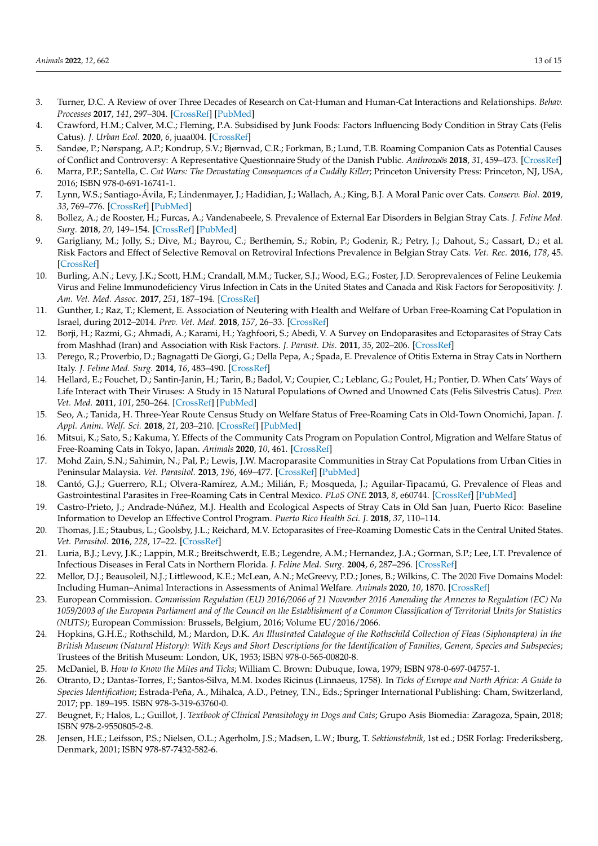- <span id="page-12-0"></span>3. Turner, D.C. A Review of over Three Decades of Research on Cat-Human and Human-Cat Interactions and Relationships. *Behav. Processes* **2017**, *141*, 297–304. [\[CrossRef\]](http://doi.org/10.1016/j.beproc.2017.01.008) [\[PubMed\]](http://www.ncbi.nlm.nih.gov/pubmed/28119016)
- <span id="page-12-1"></span>4. Crawford, H.M.; Calver, M.C.; Fleming, P.A. Subsidised by Junk Foods: Factors Influencing Body Condition in Stray Cats (Felis Catus). *J. Urban Ecol.* **2020**, *6*, juaa004. [\[CrossRef\]](http://doi.org/10.1093/jue/juaa004)
- <span id="page-12-2"></span>5. Sandøe, P.; Nørspang, A.P.; Kondrup, S.V.; Bjørnvad, C.R.; Forkman, B.; Lund, T.B. Roaming Companion Cats as Potential Causes of Conflict and Controversy: A Representative Questionnaire Study of the Danish Public. *Anthrozoös* **2018**, *31*, 459–473. [\[CrossRef\]](http://doi.org/10.1080/08927936.2018.1483870)
- <span id="page-12-3"></span>6. Marra, P.P.; Santella, C. *Cat Wars: The Devastating Consequences of a Cuddly Killer*; Princeton University Press: Princeton, NJ, USA, 2016; ISBN 978-0-691-16741-1.
- <span id="page-12-4"></span>7. Lynn, W.S.; Santiago-Ávila, F.; Lindenmayer, J.; Hadidian, J.; Wallach, A.; King, B.J. A Moral Panic over Cats. *Conserv. Biol.* **2019**, *33*, 769–776. [\[CrossRef\]](http://doi.org/10.1111/cobi.13346) [\[PubMed\]](http://www.ncbi.nlm.nih.gov/pubmed/31087701)
- <span id="page-12-5"></span>8. Bollez, A.; de Rooster, H.; Furcas, A.; Vandenabeele, S. Prevalence of External Ear Disorders in Belgian Stray Cats. *J. Feline Med. Surg.* **2018**, *20*, 149–154. [\[CrossRef\]](http://doi.org/10.1177/1098612X17700808) [\[PubMed\]](http://www.ncbi.nlm.nih.gov/pubmed/28375041)
- <span id="page-12-6"></span>9. Garigliany, M.; Jolly, S.; Dive, M.; Bayrou, C.; Berthemin, S.; Robin, P.; Godenir, R.; Petry, J.; Dahout, S.; Cassart, D.; et al. Risk Factors and Effect of Selective Removal on Retroviral Infections Prevalence in Belgian Stray Cats. *Vet. Rec.* **2016**, *178*, 45. [\[CrossRef\]](http://doi.org/10.1136/vr.103314)
- <span id="page-12-7"></span>10. Burling, A.N.; Levy, J.K.; Scott, H.M.; Crandall, M.M.; Tucker, S.J.; Wood, E.G.; Foster, J.D. Seroprevalences of Feline Leukemia Virus and Feline Immunodeficiency Virus Infection in Cats in the United States and Canada and Risk Factors for Seropositivity. *J. Am. Vet. Med. Assoc.* **2017**, *251*, 187–194. [\[CrossRef\]](http://doi.org/10.2460/javma.251.2.187)
- <span id="page-12-8"></span>11. Gunther, I.; Raz, T.; Klement, E. Association of Neutering with Health and Welfare of Urban Free-Roaming Cat Population in Israel, during 2012–2014. *Prev. Vet. Med.* **2018**, *157*, 26–33. [\[CrossRef\]](http://doi.org/10.1016/j.prevetmed.2018.05.018)
- <span id="page-12-9"></span>12. Borji, H.; Razmi, G.; Ahmadi, A.; Karami, H.; Yaghfoori, S.; Abedi, V. A Survey on Endoparasites and Ectoparasites of Stray Cats from Mashhad (Iran) and Association with Risk Factors. *J. Parasit. Dis.* **2011**, *35*, 202–206. [\[CrossRef\]](http://doi.org/10.1007/s12639-011-0057-0)
- <span id="page-12-10"></span>13. Perego, R.; Proverbio, D.; Bagnagatti De Giorgi, G.; Della Pepa, A.; Spada, E. Prevalence of Otitis Externa in Stray Cats in Northern Italy. *J. Feline Med. Surg.* **2014**, *16*, 483–490. [\[CrossRef\]](http://doi.org/10.1177/1098612X13512119)
- <span id="page-12-11"></span>14. Hellard, E.; Fouchet, D.; Santin-Janin, H.; Tarin, B.; Badol, V.; Coupier, C.; Leblanc, G.; Poulet, H.; Pontier, D. When Cats' Ways of Life Interact with Their Viruses: A Study in 15 Natural Populations of Owned and Unowned Cats (Felis Silvestris Catus). *Prev. Vet. Med.* **2011**, *101*, 250–264. [\[CrossRef\]](http://doi.org/10.1016/j.prevetmed.2011.04.020) [\[PubMed\]](http://www.ncbi.nlm.nih.gov/pubmed/21705099)
- <span id="page-12-12"></span>15. Seo, A.; Tanida, H. Three-Year Route Census Study on Welfare Status of Free-Roaming Cats in Old-Town Onomichi, Japan. *J. Appl. Anim. Welf. Sci.* **2018**, *21*, 203–210. [\[CrossRef\]](http://doi.org/10.1080/10888705.2017.1379401) [\[PubMed\]](http://www.ncbi.nlm.nih.gov/pubmed/28960090)
- <span id="page-12-13"></span>16. Mitsui, K.; Sato, S.; Kakuma, Y. Effects of the Community Cats Program on Population Control, Migration and Welfare Status of Free-Roaming Cats in Tokyo, Japan. *Animals* **2020**, *10*, 461. [\[CrossRef\]](http://doi.org/10.3390/ani10030461)
- <span id="page-12-14"></span>17. Mohd Zain, S.N.; Sahimin, N.; Pal, P.; Lewis, J.W. Macroparasite Communities in Stray Cat Populations from Urban Cities in Peninsular Malaysia. *Vet. Parasitol.* **2013**, *196*, 469–477. [\[CrossRef\]](http://doi.org/10.1016/j.vetpar.2013.03.030) [\[PubMed\]](http://www.ncbi.nlm.nih.gov/pubmed/23664711)
- <span id="page-12-15"></span>18. Cantó, G.J.; Guerrero, R.I.; Olvera-Ramírez, A.M.; Milián, F.; Mosqueda, J.; Aguilar-Tipacamú, G. Prevalence of Fleas and Gastrointestinal Parasites in Free-Roaming Cats in Central Mexico. *PLoS ONE* **2013**, *8*, e60744. [\[CrossRef\]](http://doi.org/10.1371/journal.pone.0060744) [\[PubMed\]](http://www.ncbi.nlm.nih.gov/pubmed/23573282)
- <span id="page-12-16"></span>19. Castro-Prieto, J.; Andrade-Núñez, M.J. Health and Ecological Aspects of Stray Cats in Old San Juan, Puerto Rico: Baseline Information to Develop an Effective Control Program. *Puerto Rico Health Sci. J.* **2018**, *37*, 110–114.
- <span id="page-12-17"></span>20. Thomas, J.E.; Staubus, L.; Goolsby, J.L.; Reichard, M.V. Ectoparasites of Free-Roaming Domestic Cats in the Central United States. *Vet. Parasitol.* **2016**, *228*, 17–22. [\[CrossRef\]](http://doi.org/10.1016/j.vetpar.2016.07.034)
- <span id="page-12-18"></span>21. Luria, B.J.; Levy, J.K.; Lappin, M.R.; Breitschwerdt, E.B.; Legendre, A.M.; Hernandez, J.A.; Gorman, S.P.; Lee, I.T. Prevalence of Infectious Diseases in Feral Cats in Northern Florida. *J. Feline Med. Surg.* **2004**, *6*, 287–296. [\[CrossRef\]](http://doi.org/10.1016/j.jfms.2003.11.005)
- <span id="page-12-19"></span>22. Mellor, D.J.; Beausoleil, N.J.; Littlewood, K.E.; McLean, A.N.; McGreevy, P.D.; Jones, B.; Wilkins, C. The 2020 Five Domains Model: Including Human–Animal Interactions in Assessments of Animal Welfare. *Animals* **2020**, *10*, 1870. [\[CrossRef\]](http://doi.org/10.3390/ani10101870)
- <span id="page-12-20"></span>23. European Commission. *Commission Regulation (EU) 2016/2066 of 21 November 2016 Amending the Annexes to Regulation (EC) No 1059/2003 of the European Parliament and of the Council on the Establishment of a Common Classification of Territorial Units for Statistics (NUTS)*; European Commission: Brussels, Belgium, 2016; Volume EU/2016/2066.
- <span id="page-12-21"></span>24. Hopkins, G.H.E.; Rothschild, M.; Mardon, D.K. *An Illustrated Catalogue of the Rothschild Collection of Fleas (Siphonaptera) in the British Museum (Natural History): With Keys and Short Descriptions for the Identification of Families, Genera, Species and Subspecies*; Trustees of the British Museum: London, UK, 1953; ISBN 978-0-565-00820-8.
- 25. McDaniel, B. *How to Know the Mites and Ticks*; William C. Brown: Dubuque, Iowa, 1979; ISBN 978-0-697-04757-1.
- 26. Otranto, D.; Dantas-Torres, F.; Santos-Silva, M.M. Ixodes Ricinus (Linnaeus, 1758). In *Ticks of Europe and North Africa: A Guide to Species Identification*; Estrada-Peña, A., Mihalca, A.D., Petney, T.N., Eds.; Springer International Publishing: Cham, Switzerland, 2017; pp. 189–195. ISBN 978-3-319-63760-0.
- <span id="page-12-22"></span>27. Beugnet, F.; Halos, L.; Guillot, J. *Textbook of Clinical Parasitology in Dogs and Cats*; Grupo Asís Biomedia: Zaragoza, Spain, 2018; ISBN 978-2-9550805-2-8.
- <span id="page-12-23"></span>28. Jensen, H.E.; Leifsson, P.S.; Nielsen, O.L.; Agerholm, J.S.; Madsen, L.W.; Iburg, T. *Sektionsteknik*, 1st ed.; DSR Forlag: Frederiksberg, Denmark, 2001; ISBN 978-87-7432-582-6.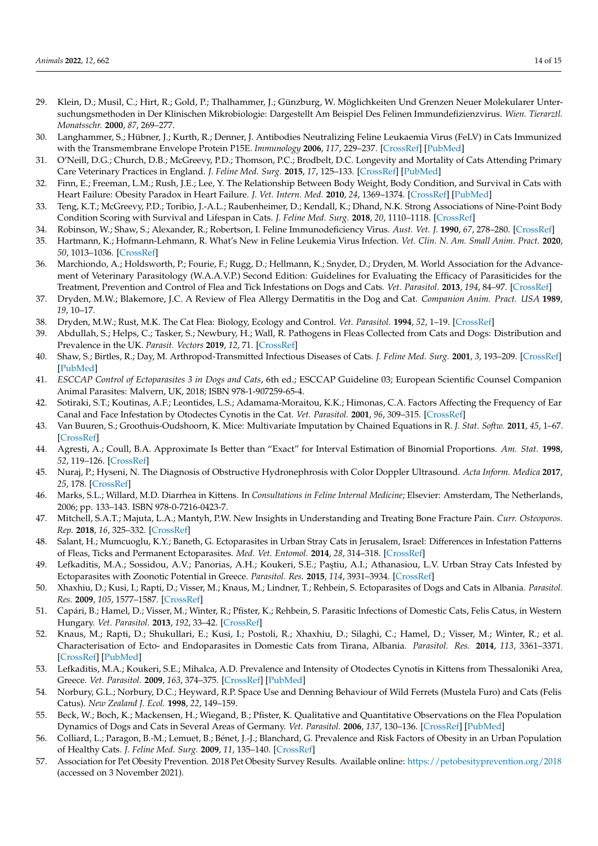- <span id="page-13-0"></span>29. Klein, D.; Musil, C.; Hirt, R.; Gold, P.; Thalhammer, J.; Günzburg, W. Möglichkeiten Und Grenzen Neuer Molekularer Untersuchungsmethoden in Der Klinischen Mikrobiologie: Dargestellt Am Beispiel Des Felinen Immundefizienzvirus. *Wien. Tierarztl. Monatsschr.* **2000**, *87*, 269–277.
- <span id="page-13-1"></span>30. Langhammer, S.; Hübner, J.; Kurth, R.; Denner, J. Antibodies Neutralizing Feline Leukaemia Virus (FeLV) in Cats Immunized with the Transmembrane Envelope Protein P15E. *Immunology* **2006**, *117*, 229–237. [\[CrossRef\]](http://doi.org/10.1111/j.1365-2567.2005.02291.x) [\[PubMed\]](http://www.ncbi.nlm.nih.gov/pubmed/16423059)
- <span id="page-13-2"></span>31. O'Neill, D.G.; Church, D.B.; McGreevy, P.D.; Thomson, P.C.; Brodbelt, D.C. Longevity and Mortality of Cats Attending Primary Care Veterinary Practices in England. *J. Feline Med. Surg.* **2015**, *17*, 125–133. [\[CrossRef\]](http://doi.org/10.1177/1098612X14536176) [\[PubMed\]](http://www.ncbi.nlm.nih.gov/pubmed/24925771)
- <span id="page-13-3"></span>32. Finn, E.; Freeman, L.M.; Rush, J.E.; Lee, Y. The Relationship Between Body Weight, Body Condition, and Survival in Cats with Heart Failure: Obesity Paradox in Heart Failure. *J. Vet. Intern. Med.* **2010**, *24*, 1369–1374. [\[CrossRef\]](http://doi.org/10.1111/j.1939-1676.2010.0584.x) [\[PubMed\]](http://www.ncbi.nlm.nih.gov/pubmed/20738769)
- <span id="page-13-4"></span>33. Teng, K.T.; McGreevy, P.D.; Toribio, J.-A.L.; Raubenheimer, D.; Kendall, K.; Dhand, N.K. Strong Associations of Nine-Point Body Condition Scoring with Survival and Lifespan in Cats. *J. Feline Med. Surg.* **2018**, *20*, 1110–1118. [\[CrossRef\]](http://doi.org/10.1177/1098612X17752198)
- <span id="page-13-5"></span>34. Robinson, W.; Shaw, S.; Alexander, R.; Robertson, I. Feline Immunodeficiency Virus. *Aust. Vet. J.* **1990**, *67*, 278–280. [\[CrossRef\]](http://doi.org/10.1111/j.1751-0813.1990.tb07796.x)
- <span id="page-13-6"></span>35. Hartmann, K.; Hofmann-Lehmann, R. What's New in Feline Leukemia Virus Infection. *Vet. Clin. N. Am. Small Anim. Pract.* **2020**, *50*, 1013–1036. [\[CrossRef\]](http://doi.org/10.1016/j.cvsm.2020.05.006)
- <span id="page-13-7"></span>36. Marchiondo, A.; Holdsworth, P.; Fourie, F.; Rugg, D.; Hellmann, K.; Snyder, D.; Dryden, M. World Association for the Advancement of Veterinary Parasitology (W.A.A.V.P.) Second Edition: Guidelines for Evaluating the Efficacy of Parasiticides for the Treatment, Prevention and Control of Flea and Tick Infestations on Dogs and Cats. *Vet. Parasitol.* **2013**, *194*, 84–97. [\[CrossRef\]](http://doi.org/10.1016/j.vetpar.2013.02.003)
- <span id="page-13-8"></span>37. Dryden, M.W.; Blakemore, J.C. A Review of Flea Allergy Dermatitis in the Dog and Cat. *Companion Anim. Pract. USA* **1989**, *19*, 10–17.
- <span id="page-13-9"></span>38. Dryden, M.W.; Rust, M.K. The Cat Flea: Biology, Ecology and Control. *Vet. Parasitol.* **1994**, *52*, 1–19. [\[CrossRef\]](http://doi.org/10.1016/0304-4017(94)90031-0)
- <span id="page-13-10"></span>39. Abdullah, S.; Helps, C.; Tasker, S.; Newbury, H.; Wall, R. Pathogens in Fleas Collected from Cats and Dogs: Distribution and Prevalence in the UK. *Parasit. Vectors* **2019**, *12*, 71. [\[CrossRef\]](http://doi.org/10.1186/s13071-019-3326-x)
- <span id="page-13-11"></span>40. Shaw, S.; Birtles, R.; Day, M. Arthropod-Transmitted Infectious Diseases of Cats. *J. Feline Med. Surg.* **2001**, *3*, 193–209. [\[CrossRef\]](http://doi.org/10.1053/jfms.2001.0149) [\[PubMed\]](http://www.ncbi.nlm.nih.gov/pubmed/11795958)
- <span id="page-13-12"></span>41. *ESCCAP Control of Ectoparasites 3 in Dogs and Cats*, 6th ed.; ESCCAP Guideline 03; European Scientific Counsel Companion Animal Parasites: Malvern, UK, 2018; ISBN 978-1-907259-65-4.
- <span id="page-13-13"></span>42. Sotiraki, S.T.; Koutinas, A.F.; Leontides, L.S.; Adamama-Moraitou, K.K.; Himonas, C.A. Factors Affecting the Frequency of Ear Canal and Face Infestation by Otodectes Cynotis in the Cat. *Vet. Parasitol.* **2001**, *96*, 309–315. [\[CrossRef\]](http://doi.org/10.1016/S0304-4017(01)00383-1)
- <span id="page-13-14"></span>43. Van Buuren, S.; Groothuis-Oudshoorn, K. Mice: Multivariate Imputation by Chained Equations in R. *J. Stat. Softw.* **2011**, *45*, 1–67. [\[CrossRef\]](http://doi.org/10.18637/jss.v045.i03)
- <span id="page-13-15"></span>44. Agresti, A.; Coull, B.A. Approximate Is Better than "Exact" for Interval Estimation of Binomial Proportions. *Am. Stat.* **1998**, *52*, 119–126. [\[CrossRef\]](http://doi.org/10.2307/2685469)
- <span id="page-13-16"></span>45. Nuraj, P.; Hyseni, N. The Diagnosis of Obstructive Hydronephrosis with Color Doppler Ultrasound. *Acta Inform. Medica* **2017**, *25*, 178. [\[CrossRef\]](http://doi.org/10.5455/aim.2017.25.178-181)
- <span id="page-13-17"></span>46. Marks, S.L.; Willard, M.D. Diarrhea in Kittens. In *Consultations in Feline Internal Medicine*; Elsevier: Amsterdam, The Netherlands, 2006; pp. 133–143. ISBN 978-0-7216-0423-7.
- <span id="page-13-18"></span>47. Mitchell, S.A.T.; Majuta, L.A.; Mantyh, P.W. New Insights in Understanding and Treating Bone Fracture Pain. *Curr. Osteoporos. Rep.* **2018**, *16*, 325–332. [\[CrossRef\]](http://doi.org/10.1007/s11914-018-0446-8)
- <span id="page-13-19"></span>48. Salant, H.; Mumcuoglu, K.Y.; Baneth, G. Ectoparasites in Urban Stray Cats in Jerusalem, Israel: Differences in Infestation Patterns of Fleas, Ticks and Permanent Ectoparasites. *Med. Vet. Entomol.* **2014**, *28*, 314–318. [\[CrossRef\]](http://doi.org/10.1111/mve.12032)
- <span id="page-13-20"></span>49. Lefkaditis, M.A.; Sossidou, A.V.; Panorias, A.H.; Koukeri, S.E.; Paştiu, A.I.; Athanasiou, L.V. Urban Stray Cats Infested by Ectoparasites with Zoonotic Potential in Greece. *Parasitol. Res.* **2015**, *114*, 3931–3934. [\[CrossRef\]](http://doi.org/10.1007/s00436-015-4688-4)
- <span id="page-13-21"></span>50. Xhaxhiu, D.; Kusi, I.; Rapti, D.; Visser, M.; Knaus, M.; Lindner, T.; Rehbein, S. Ectoparasites of Dogs and Cats in Albania. *Parasitol. Res.* **2009**, *105*, 1577–1587. [\[CrossRef\]](http://doi.org/10.1007/s00436-009-1591-x)
- 51. Capári, B.; Hamel, D.; Visser, M.; Winter, R.; Pfister, K.; Rehbein, S. Parasitic Infections of Domestic Cats, Felis Catus, in Western Hungary. *Vet. Parasitol.* **2013**, *192*, 33–42. [\[CrossRef\]](http://doi.org/10.1016/j.vetpar.2012.11.011)
- <span id="page-13-22"></span>52. Knaus, M.; Rapti, D.; Shukullari, E.; Kusi, I.; Postoli, R.; Xhaxhiu, D.; Silaghi, C.; Hamel, D.; Visser, M.; Winter, R.; et al. Characterisation of Ecto- and Endoparasites in Domestic Cats from Tirana, Albania. *Parasitol. Res.* **2014**, *113*, 3361–3371. [\[CrossRef\]](http://doi.org/10.1007/s00436-014-3999-1) [\[PubMed\]](http://www.ncbi.nlm.nih.gov/pubmed/24994454)
- <span id="page-13-23"></span>53. Lefkaditis, M.A.; Koukeri, S.E.; Mihalca, A.D. Prevalence and Intensity of Otodectes Cynotis in Kittens from Thessaloniki Area, Greece. *Vet. Parasitol.* **2009**, *163*, 374–375. [\[CrossRef\]](http://doi.org/10.1016/j.vetpar.2009.04.027) [\[PubMed\]](http://www.ncbi.nlm.nih.gov/pubmed/19520513)
- <span id="page-13-24"></span>54. Norbury, G.L.; Norbury, D.C.; Heyward, R.P. Space Use and Denning Behaviour of Wild Ferrets (Mustela Furo) and Cats (Felis Catus). *New Zealand J. Ecol.* **1998**, *22*, 149–159.
- <span id="page-13-25"></span>55. Beck, W.; Boch, K.; Mackensen, H.; Wiegand, B.; Pfister, K. Qualitative and Quantitative Observations on the Flea Population Dynamics of Dogs and Cats in Several Areas of Germany. *Vet. Parasitol.* **2006**, *137*, 130–136. [\[CrossRef\]](http://doi.org/10.1016/j.vetpar.2005.12.021) [\[PubMed\]](http://www.ncbi.nlm.nih.gov/pubmed/16442233)
- <span id="page-13-26"></span>56. Colliard, L.; Paragon, B.-M.; Lemuet, B.; Bénet, J.-J.; Blanchard, G. Prevalence and Risk Factors of Obesity in an Urban Population of Healthy Cats. *J. Feline Med. Surg.* **2009**, *11*, 135–140. [\[CrossRef\]](http://doi.org/10.1016/j.jfms.2008.07.002)
- <span id="page-13-27"></span>57. Association for Pet Obesity Prevention. 2018 Pet Obesity Survey Results. Available online: <https://petobesityprevention.org/2018> (accessed on 3 November 2021).